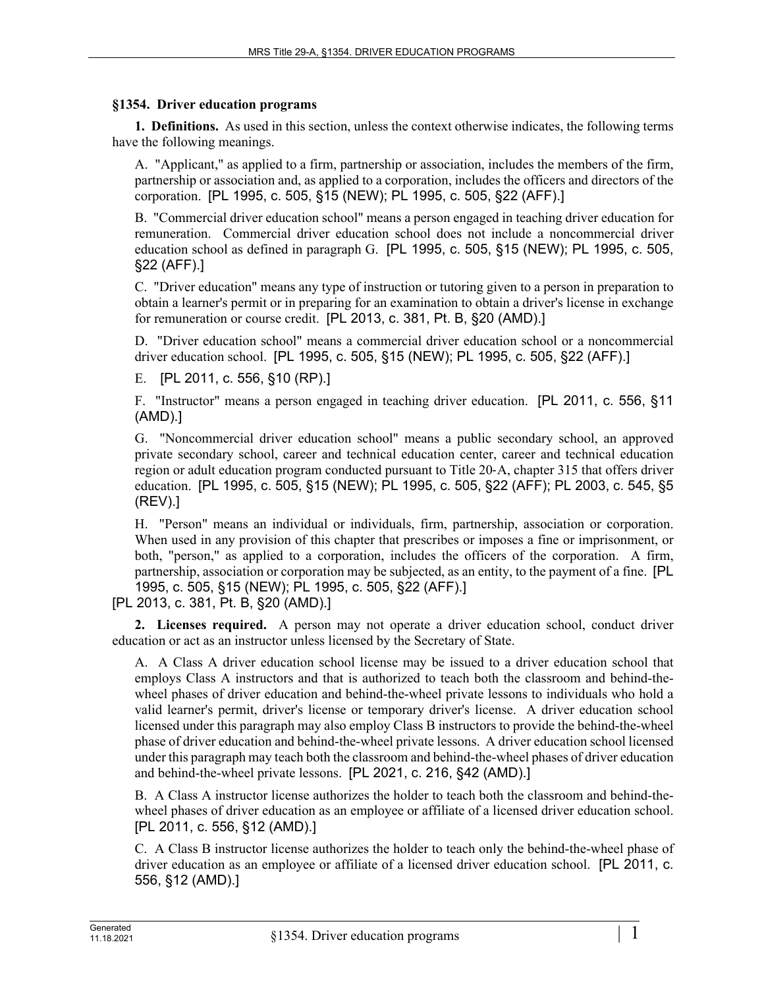## **§1354. Driver education programs**

**1. Definitions.** As used in this section, unless the context otherwise indicates, the following terms have the following meanings.

A. "Applicant," as applied to a firm, partnership or association, includes the members of the firm, partnership or association and, as applied to a corporation, includes the officers and directors of the corporation. [PL 1995, c. 505, §15 (NEW); PL 1995, c. 505, §22 (AFF).]

B. "Commercial driver education school" means a person engaged in teaching driver education for remuneration. Commercial driver education school does not include a noncommercial driver education school as defined in paragraph G. [PL 1995, c. 505, §15 (NEW); PL 1995, c. 505, §22 (AFF).]

C. "Driver education" means any type of instruction or tutoring given to a person in preparation to obtain a learner's permit or in preparing for an examination to obtain a driver's license in exchange for remuneration or course credit. [PL 2013, c. 381, Pt. B, §20 (AMD).]

D. "Driver education school" means a commercial driver education school or a noncommercial driver education school. [PL 1995, c. 505, §15 (NEW); PL 1995, c. 505, §22 (AFF).]

E. [PL 2011, c. 556, §10 (RP).]

F. "Instructor" means a person engaged in teaching driver education. [PL 2011, c. 556, §11 (AMD).]

G. "Noncommercial driver education school" means a public secondary school, an approved private secondary school, career and technical education center, career and technical education region or adult education program conducted pursuant to Title 20‑A, chapter 315 that offers driver education. [PL 1995, c. 505, §15 (NEW); PL 1995, c. 505, §22 (AFF); PL 2003, c. 545, §5 (REV).]

H. "Person" means an individual or individuals, firm, partnership, association or corporation. When used in any provision of this chapter that prescribes or imposes a fine or imprisonment, or both, "person," as applied to a corporation, includes the officers of the corporation. A firm, partnership, association or corporation may be subjected, as an entity, to the payment of a fine. [PL 1995, c. 505, §15 (NEW); PL 1995, c. 505, §22 (AFF).]

[PL 2013, c. 381, Pt. B, §20 (AMD).]

**2. Licenses required.** A person may not operate a driver education school, conduct driver education or act as an instructor unless licensed by the Secretary of State.

A. A Class A driver education school license may be issued to a driver education school that employs Class A instructors and that is authorized to teach both the classroom and behind-thewheel phases of driver education and behind-the-wheel private lessons to individuals who hold a valid learner's permit, driver's license or temporary driver's license. A driver education school licensed under this paragraph may also employ Class B instructors to provide the behind-the-wheel phase of driver education and behind-the-wheel private lessons. A driver education school licensed under this paragraph may teach both the classroom and behind-the-wheel phases of driver education and behind-the-wheel private lessons. [PL 2021, c. 216, §42 (AMD).]

B. A Class A instructor license authorizes the holder to teach both the classroom and behind-thewheel phases of driver education as an employee or affiliate of a licensed driver education school. [PL 2011, c. 556, §12 (AMD).]

C. A Class B instructor license authorizes the holder to teach only the behind-the-wheel phase of driver education as an employee or affiliate of a licensed driver education school. [PL 2011, c. 556, §12 (AMD).]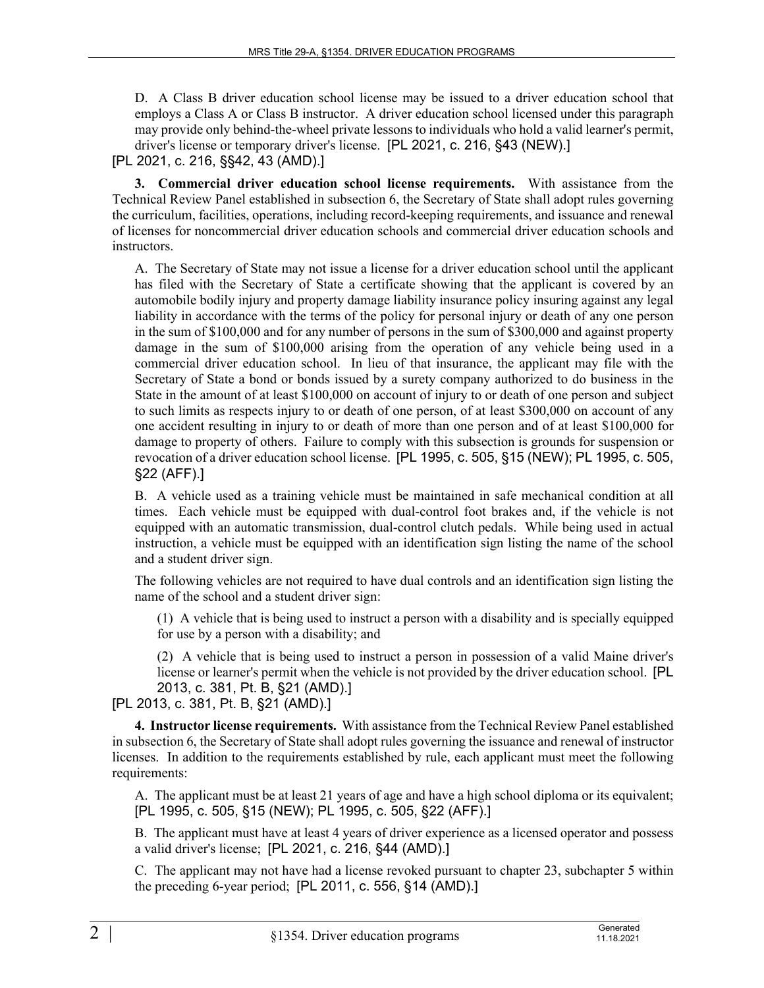D. A Class B driver education school license may be issued to a driver education school that employs a Class A or Class B instructor. A driver education school licensed under this paragraph may provide only behind-the-wheel private lessons to individuals who hold a valid learner's permit, driver's license or temporary driver's license. [PL 2021, c. 216, §43 (NEW).]

## [PL 2021, c. 216, §§42, 43 (AMD).]

**3. Commercial driver education school license requirements.** With assistance from the Technical Review Panel established in subsection 6, the Secretary of State shall adopt rules governing the curriculum, facilities, operations, including record-keeping requirements, and issuance and renewal of licenses for noncommercial driver education schools and commercial driver education schools and instructors.

A. The Secretary of State may not issue a license for a driver education school until the applicant has filed with the Secretary of State a certificate showing that the applicant is covered by an automobile bodily injury and property damage liability insurance policy insuring against any legal liability in accordance with the terms of the policy for personal injury or death of any one person in the sum of \$100,000 and for any number of persons in the sum of \$300,000 and against property damage in the sum of \$100,000 arising from the operation of any vehicle being used in a commercial driver education school. In lieu of that insurance, the applicant may file with the Secretary of State a bond or bonds issued by a surety company authorized to do business in the State in the amount of at least \$100,000 on account of injury to or death of one person and subject to such limits as respects injury to or death of one person, of at least \$300,000 on account of any one accident resulting in injury to or death of more than one person and of at least \$100,000 for damage to property of others. Failure to comply with this subsection is grounds for suspension or revocation of a driver education school license. [PL 1995, c. 505, §15 (NEW); PL 1995, c. 505, §22 (AFF).]

B. A vehicle used as a training vehicle must be maintained in safe mechanical condition at all times. Each vehicle must be equipped with dual-control foot brakes and, if the vehicle is not equipped with an automatic transmission, dual-control clutch pedals. While being used in actual instruction, a vehicle must be equipped with an identification sign listing the name of the school and a student driver sign.

The following vehicles are not required to have dual controls and an identification sign listing the name of the school and a student driver sign:

(1) A vehicle that is being used to instruct a person with a disability and is specially equipped for use by a person with a disability; and

(2) A vehicle that is being used to instruct a person in possession of a valid Maine driver's license or learner's permit when the vehicle is not provided by the driver education school. [PL 2013, c. 381, Pt. B, §21 (AMD).]

[PL 2013, c. 381, Pt. B, §21 (AMD).]

**4. Instructor license requirements.** With assistance from the Technical Review Panel established in subsection 6, the Secretary of State shall adopt rules governing the issuance and renewal of instructor licenses. In addition to the requirements established by rule, each applicant must meet the following requirements:

A. The applicant must be at least 21 years of age and have a high school diploma or its equivalent; [PL 1995, c. 505, §15 (NEW); PL 1995, c. 505, §22 (AFF).]

B. The applicant must have at least 4 years of driver experience as a licensed operator and possess a valid driver's license; [PL 2021, c. 216, §44 (AMD).]

C. The applicant may not have had a license revoked pursuant to chapter 23, subchapter 5 within the preceding 6-year period; [PL 2011, c. 556, §14 (AMD).]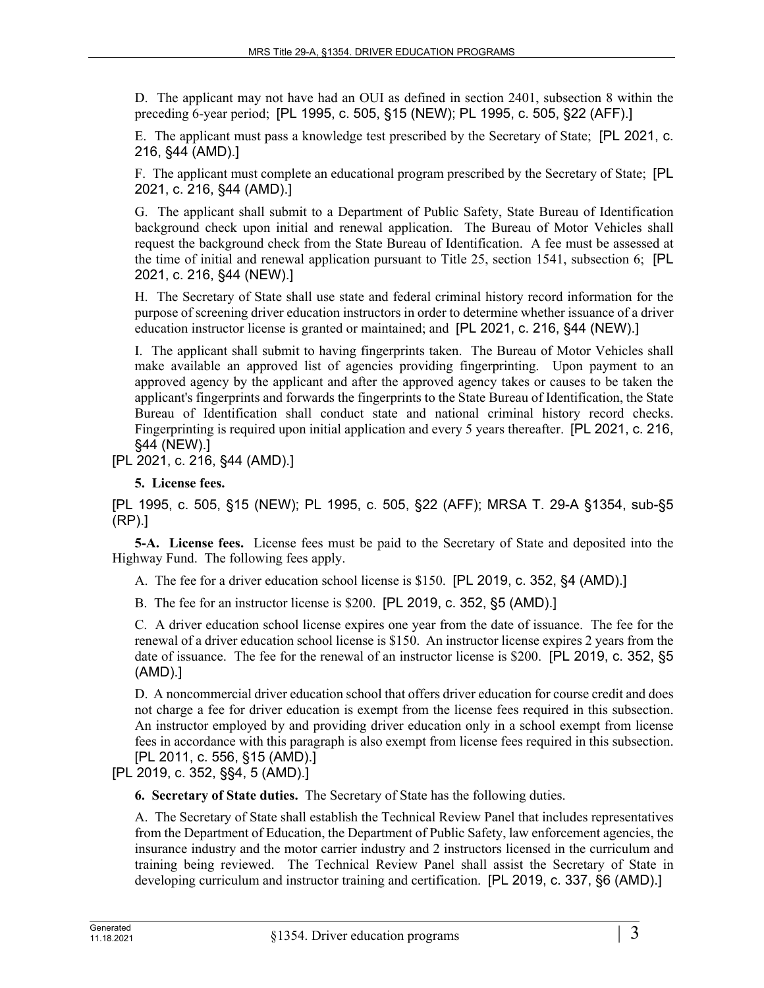D. The applicant may not have had an OUI as defined in section 2401, subsection 8 within the preceding 6-year period; [PL 1995, c. 505, §15 (NEW); PL 1995, c. 505, §22 (AFF).]

E. The applicant must pass a knowledge test prescribed by the Secretary of State; [PL 2021, c. 216, §44 (AMD).]

F. The applicant must complete an educational program prescribed by the Secretary of State; [PL 2021, c. 216, §44 (AMD).]

G. The applicant shall submit to a Department of Public Safety, State Bureau of Identification background check upon initial and renewal application. The Bureau of Motor Vehicles shall request the background check from the State Bureau of Identification. A fee must be assessed at the time of initial and renewal application pursuant to Title 25, section 1541, subsection 6; [PL 2021, c. 216, §44 (NEW).]

H. The Secretary of State shall use state and federal criminal history record information for the purpose of screening driver education instructors in order to determine whether issuance of a driver education instructor license is granted or maintained; and [PL 2021, c. 216, §44 (NEW).]

I. The applicant shall submit to having fingerprints taken. The Bureau of Motor Vehicles shall make available an approved list of agencies providing fingerprinting. Upon payment to an approved agency by the applicant and after the approved agency takes or causes to be taken the applicant's fingerprints and forwards the fingerprints to the State Bureau of Identification, the State Bureau of Identification shall conduct state and national criminal history record checks. Fingerprinting is required upon initial application and every 5 years thereafter. [PL 2021, c. 216, §44 (NEW).]

[PL 2021, c. 216, §44 (AMD).]

**5. License fees.** 

[PL 1995, c. 505, §15 (NEW); PL 1995, c. 505, §22 (AFF); MRSA T. 29-A §1354, sub-§5 (RP).]

**5-A. License fees.** License fees must be paid to the Secretary of State and deposited into the Highway Fund. The following fees apply.

A. The fee for a driver education school license is \$150. [PL 2019, c. 352, §4 (AMD).]

B. The fee for an instructor license is \$200. [PL 2019, c. 352, §5 (AMD).]

C. A driver education school license expires one year from the date of issuance. The fee for the renewal of a driver education school license is \$150. An instructor license expires 2 years from the date of issuance. The fee for the renewal of an instructor license is \$200. [PL 2019, c. 352, §5 (AMD).]

D. A noncommercial driver education school that offers driver education for course credit and does not charge a fee for driver education is exempt from the license fees required in this subsection. An instructor employed by and providing driver education only in a school exempt from license fees in accordance with this paragraph is also exempt from license fees required in this subsection. [PL 2011, c. 556, §15 (AMD).]

[PL 2019, c. 352, §§4, 5 (AMD).]

**6. Secretary of State duties.** The Secretary of State has the following duties.

A. The Secretary of State shall establish the Technical Review Panel that includes representatives from the Department of Education, the Department of Public Safety, law enforcement agencies, the insurance industry and the motor carrier industry and 2 instructors licensed in the curriculum and training being reviewed. The Technical Review Panel shall assist the Secretary of State in developing curriculum and instructor training and certification. [PL 2019, c. 337, §6 (AMD).]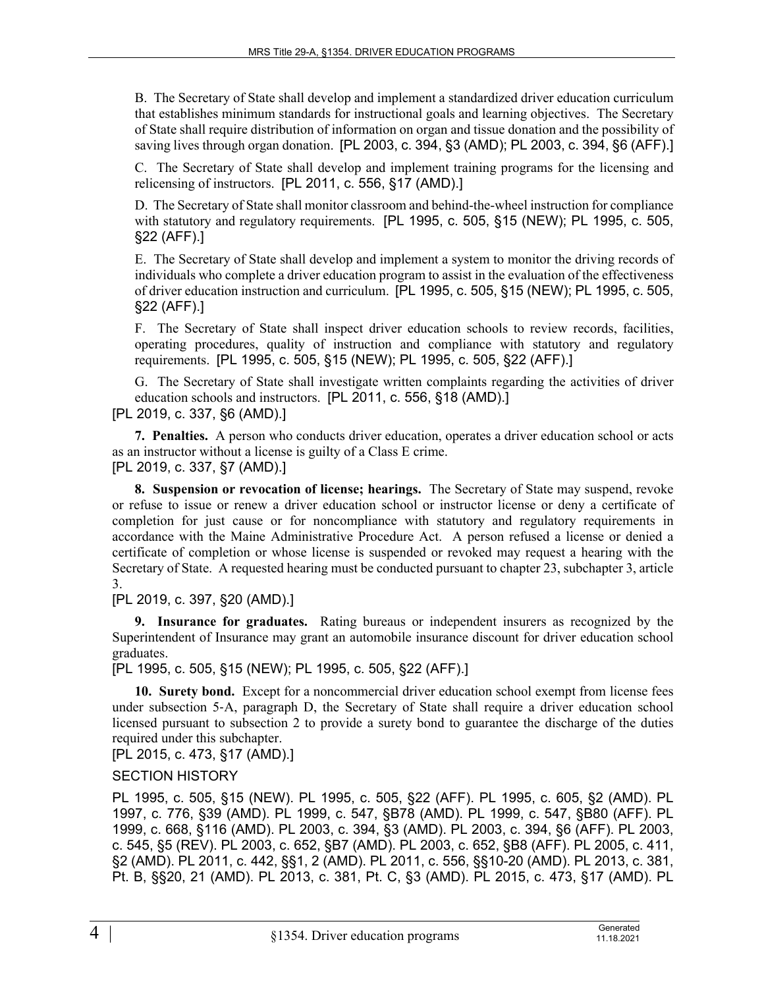B. The Secretary of State shall develop and implement a standardized driver education curriculum that establishes minimum standards for instructional goals and learning objectives. The Secretary of State shall require distribution of information on organ and tissue donation and the possibility of saving lives through organ donation. [PL 2003, c. 394, §3 (AMD); PL 2003, c. 394, §6 (AFF).]

C. The Secretary of State shall develop and implement training programs for the licensing and relicensing of instructors. [PL 2011, c. 556, §17 (AMD).]

D. The Secretary of State shall monitor classroom and behind-the-wheel instruction for compliance with statutory and regulatory requirements. [PL 1995, c. 505, §15 (NEW); PL 1995, c. 505, §22 (AFF).]

E. The Secretary of State shall develop and implement a system to monitor the driving records of individuals who complete a driver education program to assist in the evaluation of the effectiveness of driver education instruction and curriculum. [PL 1995, c. 505, §15 (NEW); PL 1995, c. 505, §22 (AFF).]

F. The Secretary of State shall inspect driver education schools to review records, facilities, operating procedures, quality of instruction and compliance with statutory and regulatory requirements. [PL 1995, c. 505, §15 (NEW); PL 1995, c. 505, §22 (AFF).]

G. The Secretary of State shall investigate written complaints regarding the activities of driver education schools and instructors. [PL 2011, c. 556, §18 (AMD).]

[PL 2019, c. 337, §6 (AMD).]

**7. Penalties.** A person who conducts driver education, operates a driver education school or acts as an instructor without a license is guilty of a Class E crime. [PL 2019, c. 337, §7 (AMD).]

**8. Suspension or revocation of license; hearings.** The Secretary of State may suspend, revoke or refuse to issue or renew a driver education school or instructor license or deny a certificate of completion for just cause or for noncompliance with statutory and regulatory requirements in accordance with the Maine Administrative Procedure Act. A person refused a license or denied a certificate of completion or whose license is suspended or revoked may request a hearing with the Secretary of State. A requested hearing must be conducted pursuant to chapter 23, subchapter 3, article 3.

[PL 2019, c. 397, §20 (AMD).]

**9. Insurance for graduates.** Rating bureaus or independent insurers as recognized by the Superintendent of Insurance may grant an automobile insurance discount for driver education school graduates.

[PL 1995, c. 505, §15 (NEW); PL 1995, c. 505, §22 (AFF).]

**10. Surety bond.** Except for a noncommercial driver education school exempt from license fees under subsection 5-A, paragraph D, the Secretary of State shall require a driver education school licensed pursuant to subsection 2 to provide a surety bond to guarantee the discharge of the duties required under this subchapter.

[PL 2015, c. 473, §17 (AMD).]

## SECTION HISTORY

PL 1995, c. 505, §15 (NEW). PL 1995, c. 505, §22 (AFF). PL 1995, c. 605, §2 (AMD). PL 1997, c. 776, §39 (AMD). PL 1999, c. 547, §B78 (AMD). PL 1999, c. 547, §B80 (AFF). PL 1999, c. 668, §116 (AMD). PL 2003, c. 394, §3 (AMD). PL 2003, c. 394, §6 (AFF). PL 2003, c. 545, §5 (REV). PL 2003, c. 652, §B7 (AMD). PL 2003, c. 652, §B8 (AFF). PL 2005, c. 411, §2 (AMD). PL 2011, c. 442, §§1, 2 (AMD). PL 2011, c. 556, §§10-20 (AMD). PL 2013, c. 381, Pt. B, §§20, 21 (AMD). PL 2013, c. 381, Pt. C, §3 (AMD). PL 2015, c. 473, §17 (AMD). PL